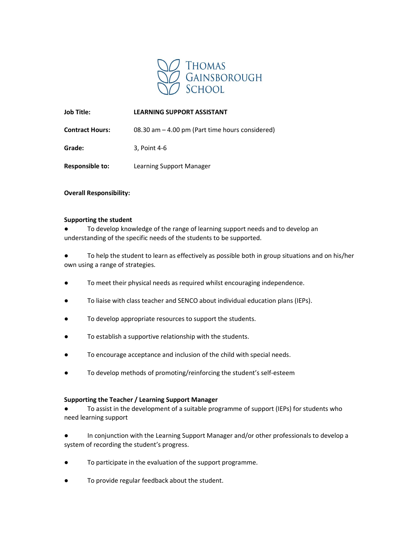

# Job Title: LEARNING SUPPORT ASSISTANT

Contract Hours: 08.30 am – 4.00 pm (Part time hours considered)

Grade: 3, Point 4-6

Responsible to: Learning Support Manager

Overall Responsibility:

## Supporting the student

To develop knowledge of the range of learning support needs and to develop an understanding of the specific needs of the students to be supported.

● To help the student to learn as effectively as possible both in group situations and on his/her own using a range of strategies.

- To meet their physical needs as required whilst encouraging independence.
- To liaise with class teacher and SENCO about individual education plans (IEPs).
- To develop appropriate resources to support the students.
- To establish a supportive relationship with the students.
- To encourage acceptance and inclusion of the child with special needs.
- To develop methods of promoting/reinforcing the student's self-esteem

## Supporting the Teacher / Learning Support Manager

To assist in the development of a suitable programme of support (IEPs) for students who need learning support

- In conjunction with the Learning Support Manager and/or other professionals to develop a system of recording the student's progress.
- To participate in the evaluation of the support programme.
- To provide regular feedback about the student.